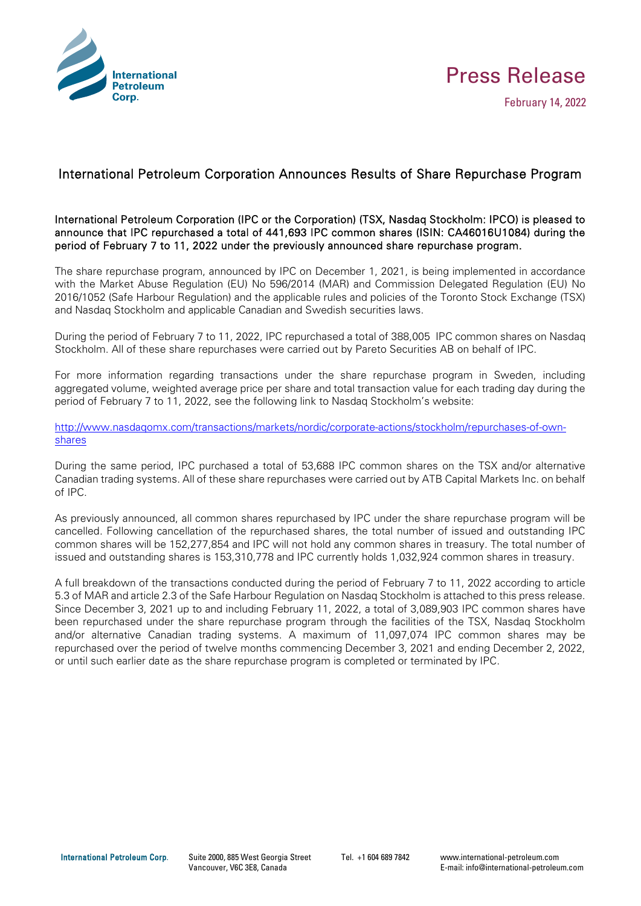



# International Petroleum Corporation Announces Results of Share Repurchase Program

## International Petroleum Corporation (IPC or the Corporation) (TSX, Nasdaq Stockholm: IPCO) is pleased to announce that IPC repurchased a total of 441,693 IPC common shares (ISIN: CA46016U1084) during the period of February 7 to 11, 2022 under the previously announced share repurchase program.

The share repurchase program, announced by IPC on December 1, 2021, is being implemented in accordance with the Market Abuse Regulation (EU) No 596/2014 (MAR) and Commission Delegated Regulation (EU) No 2016/1052 (Safe Harbour Regulation) and the applicable rules and policies of the Toronto Stock Exchange (TSX) and Nasdaq Stockholm and applicable Canadian and Swedish securities laws.

During the period of February 7 to 11, 2022, IPC repurchased a total of 388,005 IPC common shares on Nasdaq Stockholm. All of these share repurchases were carried out by Pareto Securities AB on behalf of IPC.

For more information regarding transactions under the share repurchase program in Sweden, including aggregated volume, weighted average price per share and total transaction value for each trading day during the period of February 7 to 11, 2022, see the following link to Nasdaq Stockholm's website:

[http://www.nasdaqomx.com/transactions/markets/nordic/corporate-actions/stockholm/repurchases-of-own](http://www.nasdaqomx.com/transactions/markets/nordic/corporate-actions/stockholm/repurchases-of-own-shares)[shares](http://www.nasdaqomx.com/transactions/markets/nordic/corporate-actions/stockholm/repurchases-of-own-shares)

During the same period, IPC purchased a total of 53,688 IPC common shares on the TSX and/or alternative Canadian trading systems. All of these share repurchases were carried out by ATB Capital Markets Inc. on behalf of IPC.

As previously announced, all common shares repurchased by IPC under the share repurchase program will be cancelled. Following cancellation of the repurchased shares, the total number of issued and outstanding IPC common shares will be 152,277,854 and IPC will not hold any common shares in treasury. The total number of issued and outstanding shares is 153,310,778 and IPC currently holds 1,032,924 common shares in treasury.

A full breakdown of the transactions conducted during the period of February 7 to 11, 2022 according to article 5.3 of MAR and article 2.3 of the Safe Harbour Regulation on Nasdaq Stockholm is attached to this press release. Since December 3, 2021 up to and including February 11, 2022, a total of 3,089,903 IPC common shares have been repurchased under the share repurchase program through the facilities of the TSX, Nasdaq Stockholm and/or alternative Canadian trading systems. A maximum of 11,097,074 IPC common shares may be repurchased over the period of twelve months commencing December 3, 2021 and ending December 2, 2022, or until such earlier date as the share repurchase program is completed or terminated by IPC.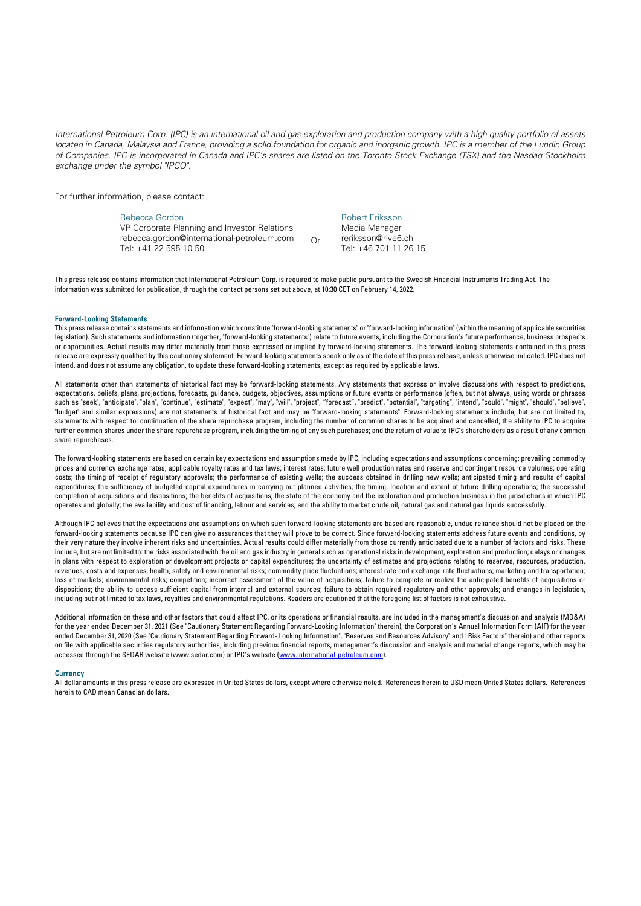*International Petroleum Corp. (IPC) is an international oil and gas exploration and production company with a high quality portfolio of assets*  located in Canada, Malaysia and France, providing a solid foundation for organic and inorganic growth. IPC is a member of the Lundin Group *of Companies. IPC is incorporated in Canada and IPC's shares are listed on the Toronto Stock Exchange (TSX) and the Nasdaq Stockholm exchange under the symbol "IPCO".* 

For further information, please contact:

Rebecca Gordon

VP Corporate Planning and Investor Relations rebecca.gordon@international-petroleum.com Tel: +41 22 595 10 50

Robert Eriksson Media Manager reriksson@rive6.ch

Tel: +46 701 11 26 15

This press release contains information that International Petroleum Corp. is required to make public pursuant to the Swedish Financial Instruments Trading Act. The information was submitted for publication, through the contact persons set out above, at 10:30 CET on February 14, 2022.

Or

### Forward-Looking Statements

This press release contains statements and information which constitute "forward-looking statements" or "forward-looking information" (within the meaning of applicable securities legislation). Such statements and information (together, "forward-looking statements") relate to future events, including the Corporation's future performance, business prospects or opportunities. Actual results may differ materially from those expressed or implied by forward-looking statements. The forward-looking statements contained in this press release are expressly qualified by this cautionary statement. Forward-looking statements speak only as of the date of this press release, unless otherwise indicated. IPC does not intend, and does not assume any obligation, to update these forward-looking statements, except as required by applicable laws.

All statements other than statements of historical fact may be forward-looking statements. Any statements that express or involve discussions with respect to predictions, expectations, beliefs, plans, projections, forecasts, guidance, budgets, objectives, assumptions or future events or performance (often, but not always, using words or phrases such as "seek", "anticipate", "plan", "continue", "estimate", "expect", "may", "will", "project", "forecast", "predict", "potential", "targeting", "intend", "could", "might", "should", "believe", "budget" and similar expressions) are not statements of historical fact and may be "forward-looking statements". Forward-looking statements include, but are not limited to, statements with respect to: continuation of the share repurchase program, including the number of common shares to be acquired and cancelled; the ability to IPC to acquire further common shares under the share repurchase program, including the timing of any such purchases; and the return of value to IPC's shareholders as a result of any common share repurchases.

The forward-looking statements are based on certain key expectations and assumptions made by IPC, including expectations and assumptions concerning: prevailing commodity prices and currency exchange rates; applicable royalty rates and tax laws; interest rates; future well production rates and reserve and contingent resource volumes; operating costs; the timing of receipt of regulatory approvals; the performance of existing wells; the success obtained in drilling new wells; anticipated timing and results of capital expenditures; the sufficiency of budgeted capital expenditures in carrying out planned activities; the timing, location and extent of future drilling operations; the successful completion of acquisitions and dispositions; the benefits of acquisitions; the state of the economy and the exploration and production business in the jurisdictions in which IPC operates and globally; the availability and cost of financing, labour and services; and the ability to market crude oil, natural gas and natural gas liquids successfully.

Although IPC believes that the expectations and assumptions on which such forward-looking statements are based are reasonable, undue reliance should not be placed on the forward-looking statements because IPC can give no assurances that they will prove to be correct. Since forward-looking statements address future events and conditions, by their very nature they involve inherent risks and uncertainties. Actual results could differ materially from those currently anticipated due to a number of factors and risks. These include, but are not limited to: the risks associated with the oil and gas industry in general such as operational risks in development, exploration and production; delays or changes in plans with respect to exploration or development projects or capital expenditures; the uncertainty of estimates and projections relating to reserves, resources, production, revenues, costs and expenses; health, safety and environmental risks; commodity price fluctuations; interest rate and exchange rate fluctuations; marketing and transportation; loss of markets; environmental risks; competition; incorrect assessment of the value of acquisitions; failure to complete or realize the anticipated benefits of acquisitions or dispositions; the ability to access sufficient capital from internal and external sources; failure to obtain required regulatory and other approvals; and changes in legislation, including but not limited to tax laws, royalties and environmental regulations. Readers are cautioned that the foregoing list of factors is not exhaustive.

Additional information on these and other factors that could affect IPC, or its operations or financial results, are included in the management's discussion and analysis (MD&A) for the year ended December 31, 2021 (See "Cautionary Statement Regarding Forward-Looking Information" therein), the Corporation's Annual Information Form (AIF) for the year ended December 31, 2020 (See "Cautionary Statement Regarding Forward- Looking Information", "Reserves and Resources Advisory" and " Risk Factors" therein) and other reports on file with applicable securities regulatory authorities, including previous financial reports, management's discussion and analysis and material change reports, which may be accessed through the SEDAR website (www.sedar.com) or IPC's website [\(www.international-petroleum.com\).](http://www.international-petroleum.com/)

#### **Currency**

All dollar amounts in this press release are expressed in United States dollars, except where otherwise noted. References herein to USD mean United States dollars. References herein to CAD mean Canadian dollars.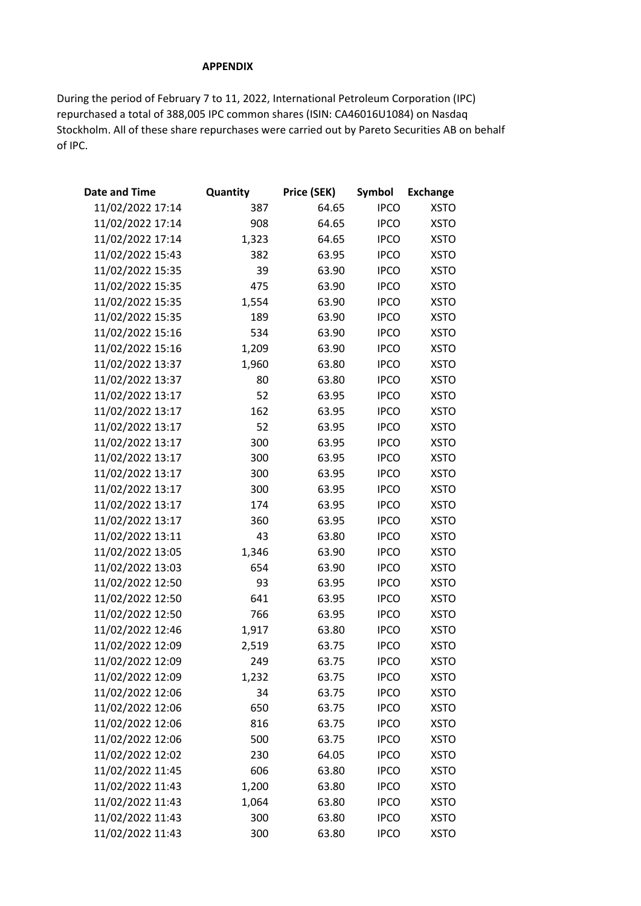### **APPENDIX**

During the period of February 7 to 11, 2022, International Petroleum Corporation (IPC) repurchased a total of 388,005 IPC common shares (ISIN: CA46016U1084) on Nasdaq Stockholm. All of these share repurchases were carried out by Pareto Securities AB on behalf of IPC.

| <b>Date and Time</b> | Quantity | Price (SEK) | Symbol      | <b>Exchange</b> |
|----------------------|----------|-------------|-------------|-----------------|
| 11/02/2022 17:14     | 387      | 64.65       | <b>IPCO</b> | <b>XSTO</b>     |
| 11/02/2022 17:14     | 908      | 64.65       | <b>IPCO</b> | <b>XSTO</b>     |
| 11/02/2022 17:14     | 1,323    | 64.65       | <b>IPCO</b> | <b>XSTO</b>     |
| 11/02/2022 15:43     | 382      | 63.95       | <b>IPCO</b> | <b>XSTO</b>     |
| 11/02/2022 15:35     | 39       | 63.90       | <b>IPCO</b> | <b>XSTO</b>     |
| 11/02/2022 15:35     | 475      | 63.90       | <b>IPCO</b> | <b>XSTO</b>     |
| 11/02/2022 15:35     | 1,554    | 63.90       | <b>IPCO</b> | <b>XSTO</b>     |
| 11/02/2022 15:35     | 189      | 63.90       | <b>IPCO</b> | <b>XSTO</b>     |
| 11/02/2022 15:16     | 534      | 63.90       | <b>IPCO</b> | <b>XSTO</b>     |
| 11/02/2022 15:16     | 1,209    | 63.90       | <b>IPCO</b> | <b>XSTO</b>     |
| 11/02/2022 13:37     | 1,960    | 63.80       | <b>IPCO</b> | <b>XSTO</b>     |
| 11/02/2022 13:37     | 80       | 63.80       | <b>IPCO</b> | <b>XSTO</b>     |
| 11/02/2022 13:17     | 52       | 63.95       | <b>IPCO</b> | <b>XSTO</b>     |
| 11/02/2022 13:17     | 162      | 63.95       | <b>IPCO</b> | <b>XSTO</b>     |
| 11/02/2022 13:17     | 52       | 63.95       | <b>IPCO</b> | <b>XSTO</b>     |
| 11/02/2022 13:17     | 300      | 63.95       | <b>IPCO</b> | <b>XSTO</b>     |
| 11/02/2022 13:17     | 300      | 63.95       | <b>IPCO</b> | <b>XSTO</b>     |
| 11/02/2022 13:17     | 300      | 63.95       | <b>IPCO</b> | <b>XSTO</b>     |
| 11/02/2022 13:17     | 300      | 63.95       | <b>IPCO</b> | <b>XSTO</b>     |
| 11/02/2022 13:17     | 174      | 63.95       | <b>IPCO</b> | <b>XSTO</b>     |
| 11/02/2022 13:17     | 360      | 63.95       | <b>IPCO</b> | <b>XSTO</b>     |
| 11/02/2022 13:11     | 43       | 63.80       | <b>IPCO</b> | <b>XSTO</b>     |
| 11/02/2022 13:05     | 1,346    | 63.90       | <b>IPCO</b> | <b>XSTO</b>     |
| 11/02/2022 13:03     | 654      | 63.90       | <b>IPCO</b> | <b>XSTO</b>     |
| 11/02/2022 12:50     | 93       | 63.95       | <b>IPCO</b> | <b>XSTO</b>     |
| 11/02/2022 12:50     | 641      | 63.95       | <b>IPCO</b> | <b>XSTO</b>     |
| 11/02/2022 12:50     | 766      | 63.95       | <b>IPCO</b> | <b>XSTO</b>     |
| 11/02/2022 12:46     | 1,917    | 63.80       | <b>IPCO</b> | <b>XSTO</b>     |
| 11/02/2022 12:09     | 2,519    | 63.75       | <b>IPCO</b> | <b>XSTO</b>     |
| 11/02/2022 12:09     | 249      | 63.75       | <b>IPCO</b> | <b>XSTO</b>     |
| 11/02/2022 12:09     | 1,232    | 63.75       | <b>IPCO</b> | <b>XSTO</b>     |
| 11/02/2022 12:06     | 34       | 63.75       | <b>IPCO</b> | <b>XSTO</b>     |
| 11/02/2022 12:06     | 650      | 63.75       | <b>IPCO</b> | <b>XSTO</b>     |
| 11/02/2022 12:06     | 816      | 63.75       | <b>IPCO</b> | <b>XSTO</b>     |
| 11/02/2022 12:06     | 500      | 63.75       | <b>IPCO</b> | <b>XSTO</b>     |
| 11/02/2022 12:02     | 230      | 64.05       | <b>IPCO</b> | <b>XSTO</b>     |
| 11/02/2022 11:45     | 606      | 63.80       | <b>IPCO</b> | <b>XSTO</b>     |
| 11/02/2022 11:43     | 1,200    | 63.80       | <b>IPCO</b> | <b>XSTO</b>     |
| 11/02/2022 11:43     | 1,064    | 63.80       | <b>IPCO</b> | <b>XSTO</b>     |
| 11/02/2022 11:43     | 300      | 63.80       | <b>IPCO</b> | <b>XSTO</b>     |
| 11/02/2022 11:43     | 300      | 63.80       | <b>IPCO</b> | <b>XSTO</b>     |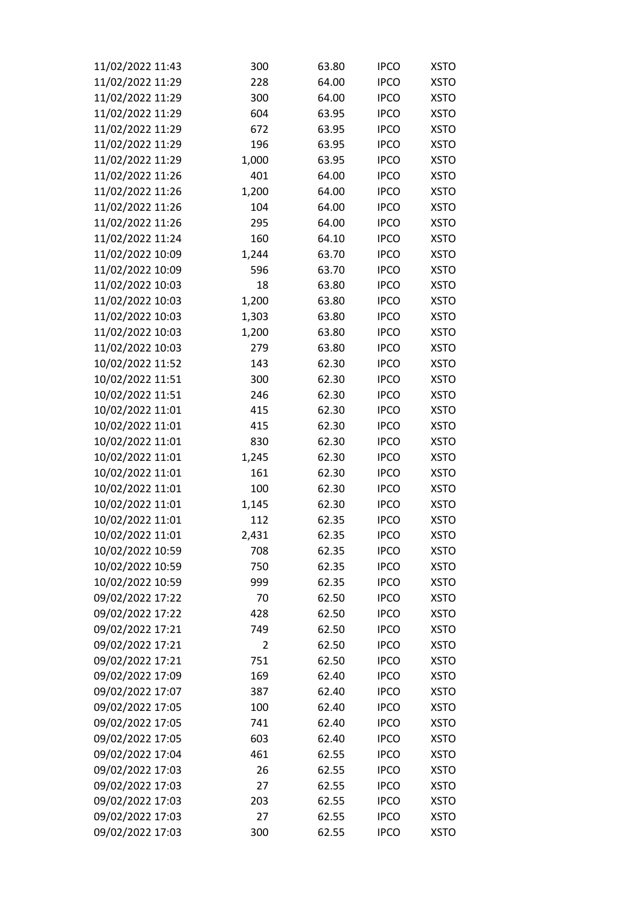| 11/02/2022 11:43 | 300            | 63.80 | <b>IPCO</b> | <b>XSTO</b> |
|------------------|----------------|-------|-------------|-------------|
| 11/02/2022 11:29 | 228            | 64.00 | <b>IPCO</b> | <b>XSTO</b> |
| 11/02/2022 11:29 | 300            | 64.00 | <b>IPCO</b> | <b>XSTO</b> |
| 11/02/2022 11:29 | 604            | 63.95 | <b>IPCO</b> | <b>XSTO</b> |
| 11/02/2022 11:29 | 672            | 63.95 | <b>IPCO</b> | <b>XSTO</b> |
| 11/02/2022 11:29 | 196            | 63.95 | <b>IPCO</b> | <b>XSTO</b> |
| 11/02/2022 11:29 | 1,000          | 63.95 | <b>IPCO</b> | <b>XSTO</b> |
| 11/02/2022 11:26 | 401            | 64.00 | <b>IPCO</b> | <b>XSTO</b> |
| 11/02/2022 11:26 | 1,200          | 64.00 | <b>IPCO</b> | <b>XSTO</b> |
| 11/02/2022 11:26 | 104            | 64.00 | <b>IPCO</b> | <b>XSTO</b> |
| 11/02/2022 11:26 | 295            | 64.00 | <b>IPCO</b> | <b>XSTO</b> |
| 11/02/2022 11:24 | 160            | 64.10 | <b>IPCO</b> | <b>XSTO</b> |
| 11/02/2022 10:09 | 1,244          | 63.70 | <b>IPCO</b> | <b>XSTO</b> |
| 11/02/2022 10:09 | 596            | 63.70 | <b>IPCO</b> | <b>XSTO</b> |
| 11/02/2022 10:03 | 18             | 63.80 | <b>IPCO</b> | <b>XSTO</b> |
| 11/02/2022 10:03 | 1,200          | 63.80 | <b>IPCO</b> | <b>XSTO</b> |
| 11/02/2022 10:03 | 1,303          | 63.80 | <b>IPCO</b> | <b>XSTO</b> |
| 11/02/2022 10:03 | 1,200          | 63.80 | <b>IPCO</b> | <b>XSTO</b> |
| 11/02/2022 10:03 | 279            | 63.80 | <b>IPCO</b> | <b>XSTO</b> |
| 10/02/2022 11:52 | 143            | 62.30 | <b>IPCO</b> | <b>XSTO</b> |
| 10/02/2022 11:51 | 300            | 62.30 | <b>IPCO</b> | <b>XSTO</b> |
| 10/02/2022 11:51 | 246            | 62.30 | <b>IPCO</b> | <b>XSTO</b> |
| 10/02/2022 11:01 | 415            | 62.30 | <b>IPCO</b> | <b>XSTO</b> |
| 10/02/2022 11:01 | 415            | 62.30 | <b>IPCO</b> | <b>XSTO</b> |
| 10/02/2022 11:01 | 830            | 62.30 | <b>IPCO</b> | <b>XSTO</b> |
| 10/02/2022 11:01 | 1,245          | 62.30 | <b>IPCO</b> | <b>XSTO</b> |
| 10/02/2022 11:01 | 161            | 62.30 | <b>IPCO</b> | <b>XSTO</b> |
| 10/02/2022 11:01 | 100            | 62.30 | <b>IPCO</b> | <b>XSTO</b> |
| 10/02/2022 11:01 | 1,145          | 62.30 | <b>IPCO</b> | <b>XSTO</b> |
| 10/02/2022 11:01 | 112            | 62.35 | <b>IPCO</b> | <b>XSTO</b> |
| 10/02/2022 11:01 | 2,431          | 62.35 | <b>IPCO</b> | <b>XSTO</b> |
| 10/02/2022 10:59 | 708            | 62.35 | <b>IPCO</b> | <b>XSTO</b> |
| 10/02/2022 10:59 | 750            | 62.35 | <b>IPCO</b> | <b>XSTO</b> |
| 10/02/2022 10:59 | 999            | 62.35 | <b>IPCO</b> | <b>XSTO</b> |
| 09/02/2022 17:22 | 70             | 62.50 | <b>IPCO</b> | <b>XSTO</b> |
| 09/02/2022 17:22 | 428            | 62.50 | <b>IPCO</b> | <b>XSTO</b> |
| 09/02/2022 17:21 | 749            | 62.50 | <b>IPCO</b> | <b>XSTO</b> |
| 09/02/2022 17:21 | $\overline{2}$ | 62.50 | <b>IPCO</b> | <b>XSTO</b> |
| 09/02/2022 17:21 | 751            | 62.50 | <b>IPCO</b> | <b>XSTO</b> |
| 09/02/2022 17:09 | 169            | 62.40 | <b>IPCO</b> | <b>XSTO</b> |
| 09/02/2022 17:07 | 387            | 62.40 | <b>IPCO</b> | <b>XSTO</b> |
| 09/02/2022 17:05 | 100            | 62.40 | <b>IPCO</b> | <b>XSTO</b> |
| 09/02/2022 17:05 | 741            | 62.40 | <b>IPCO</b> | <b>XSTO</b> |
| 09/02/2022 17:05 | 603            | 62.40 | <b>IPCO</b> | <b>XSTO</b> |
| 09/02/2022 17:04 | 461            | 62.55 | <b>IPCO</b> | <b>XSTO</b> |
| 09/02/2022 17:03 | 26             | 62.55 | <b>IPCO</b> | <b>XSTO</b> |
| 09/02/2022 17:03 | 27             | 62.55 | <b>IPCO</b> | <b>XSTO</b> |
| 09/02/2022 17:03 | 203            | 62.55 | <b>IPCO</b> | <b>XSTO</b> |
| 09/02/2022 17:03 | 27             | 62.55 | <b>IPCO</b> | <b>XSTO</b> |
| 09/02/2022 17:03 | 300            | 62.55 | <b>IPCO</b> | <b>XSTO</b> |
|                  |                |       |             |             |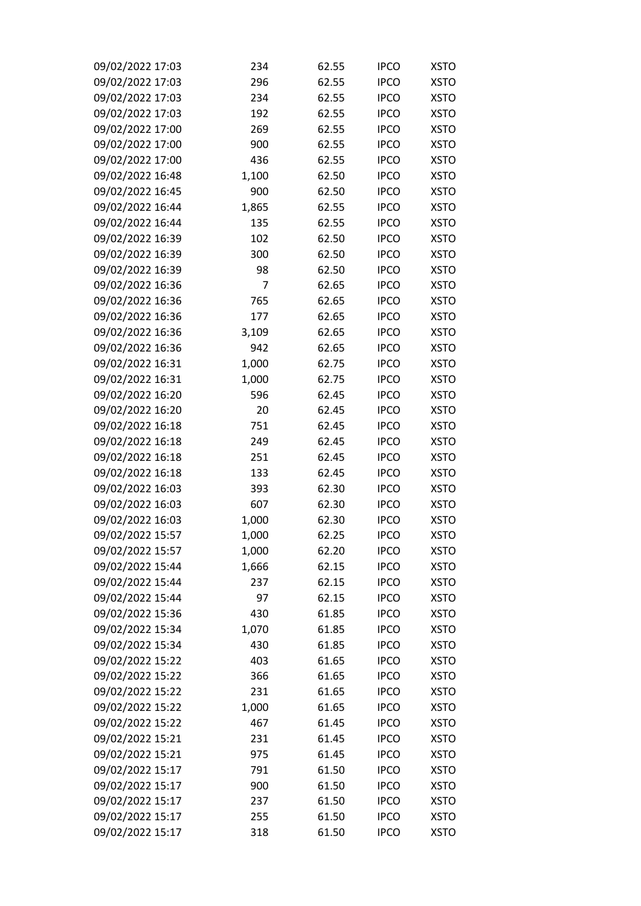| 09/02/2022 17:03 | 234   | 62.55 | <b>IPCO</b> | <b>XSTO</b> |
|------------------|-------|-------|-------------|-------------|
| 09/02/2022 17:03 | 296   | 62.55 | <b>IPCO</b> | <b>XSTO</b> |
| 09/02/2022 17:03 | 234   | 62.55 | <b>IPCO</b> | <b>XSTO</b> |
| 09/02/2022 17:03 | 192   | 62.55 | <b>IPCO</b> | <b>XSTO</b> |
| 09/02/2022 17:00 | 269   | 62.55 | <b>IPCO</b> | <b>XSTO</b> |
| 09/02/2022 17:00 | 900   | 62.55 | <b>IPCO</b> | <b>XSTO</b> |
| 09/02/2022 17:00 | 436   | 62.55 | <b>IPCO</b> | <b>XSTO</b> |
| 09/02/2022 16:48 | 1,100 | 62.50 | <b>IPCO</b> | <b>XSTO</b> |
| 09/02/2022 16:45 | 900   | 62.50 | <b>IPCO</b> | <b>XSTO</b> |
| 09/02/2022 16:44 | 1,865 | 62.55 | <b>IPCO</b> | <b>XSTO</b> |
| 09/02/2022 16:44 | 135   | 62.55 | <b>IPCO</b> | <b>XSTO</b> |
| 09/02/2022 16:39 | 102   | 62.50 | <b>IPCO</b> | <b>XSTO</b> |
| 09/02/2022 16:39 | 300   | 62.50 | <b>IPCO</b> | <b>XSTO</b> |
| 09/02/2022 16:39 | 98    | 62.50 | <b>IPCO</b> | <b>XSTO</b> |
| 09/02/2022 16:36 | 7     | 62.65 | <b>IPCO</b> | <b>XSTO</b> |
| 09/02/2022 16:36 | 765   | 62.65 | <b>IPCO</b> | <b>XSTO</b> |
| 09/02/2022 16:36 | 177   | 62.65 | <b>IPCO</b> | <b>XSTO</b> |
| 09/02/2022 16:36 | 3,109 | 62.65 | <b>IPCO</b> | <b>XSTO</b> |
| 09/02/2022 16:36 | 942   | 62.65 | <b>IPCO</b> | <b>XSTO</b> |
| 09/02/2022 16:31 | 1,000 | 62.75 | <b>IPCO</b> | <b>XSTO</b> |
| 09/02/2022 16:31 | 1,000 | 62.75 | <b>IPCO</b> | <b>XSTO</b> |
| 09/02/2022 16:20 | 596   | 62.45 | <b>IPCO</b> | <b>XSTO</b> |
| 09/02/2022 16:20 | 20    | 62.45 | <b>IPCO</b> | <b>XSTO</b> |
| 09/02/2022 16:18 | 751   | 62.45 | <b>IPCO</b> | <b>XSTO</b> |
| 09/02/2022 16:18 | 249   | 62.45 | <b>IPCO</b> | <b>XSTO</b> |
| 09/02/2022 16:18 | 251   | 62.45 | <b>IPCO</b> | <b>XSTO</b> |
| 09/02/2022 16:18 | 133   | 62.45 | <b>IPCO</b> | <b>XSTO</b> |
| 09/02/2022 16:03 | 393   | 62.30 | <b>IPCO</b> | <b>XSTO</b> |
| 09/02/2022 16:03 | 607   | 62.30 | <b>IPCO</b> | <b>XSTO</b> |
| 09/02/2022 16:03 | 1,000 | 62.30 | <b>IPCO</b> | <b>XSTO</b> |
| 09/02/2022 15:57 | 1,000 | 62.25 | <b>IPCO</b> | <b>XSTO</b> |
| 09/02/2022 15:57 | 1,000 | 62.20 | <b>IPCO</b> | <b>XSTO</b> |
| 09/02/2022 15:44 | 1,666 | 62.15 | <b>IPCO</b> | <b>XSTO</b> |
| 09/02/2022 15:44 | 237   | 62.15 | <b>IPCO</b> | <b>XSTO</b> |
| 09/02/2022 15:44 | 97    | 62.15 | <b>IPCO</b> | <b>XSTO</b> |
| 09/02/2022 15:36 | 430   | 61.85 | <b>IPCO</b> | <b>XSTO</b> |
| 09/02/2022 15:34 | 1,070 | 61.85 | <b>IPCO</b> | <b>XSTO</b> |
| 09/02/2022 15:34 | 430   | 61.85 | <b>IPCO</b> | <b>XSTO</b> |
| 09/02/2022 15:22 | 403   | 61.65 | <b>IPCO</b> | <b>XSTO</b> |
| 09/02/2022 15:22 | 366   | 61.65 | <b>IPCO</b> | <b>XSTO</b> |
| 09/02/2022 15:22 | 231   | 61.65 | <b>IPCO</b> | <b>XSTO</b> |
| 09/02/2022 15:22 | 1,000 | 61.65 | <b>IPCO</b> | <b>XSTO</b> |
| 09/02/2022 15:22 | 467   | 61.45 | <b>IPCO</b> | <b>XSTO</b> |
| 09/02/2022 15:21 | 231   | 61.45 | <b>IPCO</b> | <b>XSTO</b> |
| 09/02/2022 15:21 | 975   | 61.45 | <b>IPCO</b> | <b>XSTO</b> |
| 09/02/2022 15:17 | 791   | 61.50 | <b>IPCO</b> | <b>XSTO</b> |
| 09/02/2022 15:17 | 900   | 61.50 | <b>IPCO</b> | <b>XSTO</b> |
| 09/02/2022 15:17 | 237   | 61.50 | <b>IPCO</b> | <b>XSTO</b> |
| 09/02/2022 15:17 | 255   | 61.50 | <b>IPCO</b> | <b>XSTO</b> |
| 09/02/2022 15:17 | 318   | 61.50 | <b>IPCO</b> | <b>XSTO</b> |
|                  |       |       |             |             |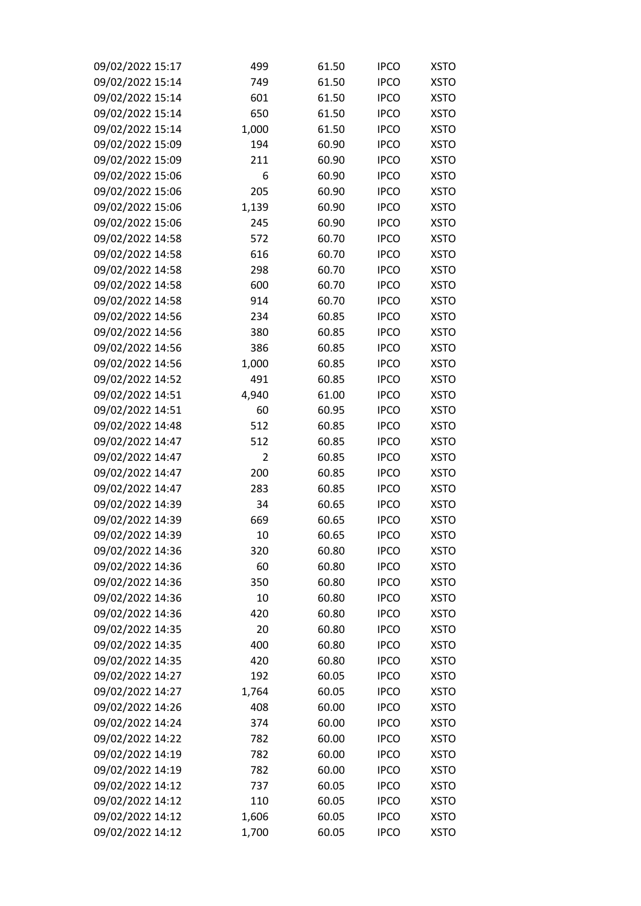| 09/02/2022 15:17 | 499            | 61.50 | <b>IPCO</b> | <b>XSTO</b> |
|------------------|----------------|-------|-------------|-------------|
| 09/02/2022 15:14 | 749            | 61.50 | <b>IPCO</b> | <b>XSTO</b> |
| 09/02/2022 15:14 | 601            | 61.50 | <b>IPCO</b> | <b>XSTO</b> |
| 09/02/2022 15:14 | 650            | 61.50 | <b>IPCO</b> | <b>XSTO</b> |
| 09/02/2022 15:14 | 1,000          | 61.50 | <b>IPCO</b> | <b>XSTO</b> |
| 09/02/2022 15:09 | 194            | 60.90 | <b>IPCO</b> | <b>XSTO</b> |
| 09/02/2022 15:09 | 211            | 60.90 | <b>IPCO</b> | <b>XSTO</b> |
| 09/02/2022 15:06 | 6              | 60.90 | <b>IPCO</b> | <b>XSTO</b> |
| 09/02/2022 15:06 | 205            | 60.90 | <b>IPCO</b> | <b>XSTO</b> |
| 09/02/2022 15:06 | 1,139          | 60.90 | <b>IPCO</b> | <b>XSTO</b> |
| 09/02/2022 15:06 | 245            | 60.90 | <b>IPCO</b> | <b>XSTO</b> |
| 09/02/2022 14:58 | 572            | 60.70 | <b>IPCO</b> | <b>XSTO</b> |
| 09/02/2022 14:58 | 616            | 60.70 | <b>IPCO</b> | <b>XSTO</b> |
| 09/02/2022 14:58 | 298            | 60.70 | <b>IPCO</b> | <b>XSTO</b> |
| 09/02/2022 14:58 | 600            | 60.70 | <b>IPCO</b> | <b>XSTO</b> |
| 09/02/2022 14:58 | 914            | 60.70 | <b>IPCO</b> | <b>XSTO</b> |
| 09/02/2022 14:56 | 234            | 60.85 | <b>IPCO</b> | <b>XSTO</b> |
| 09/02/2022 14:56 | 380            | 60.85 | <b>IPCO</b> | <b>XSTO</b> |
| 09/02/2022 14:56 | 386            | 60.85 | <b>IPCO</b> | <b>XSTO</b> |
| 09/02/2022 14:56 | 1,000          | 60.85 | <b>IPCO</b> | <b>XSTO</b> |
| 09/02/2022 14:52 | 491            | 60.85 | <b>IPCO</b> | <b>XSTO</b> |
| 09/02/2022 14:51 | 4,940          | 61.00 | <b>IPCO</b> | <b>XSTO</b> |
| 09/02/2022 14:51 | 60             | 60.95 | <b>IPCO</b> | <b>XSTO</b> |
| 09/02/2022 14:48 | 512            | 60.85 | <b>IPCO</b> | <b>XSTO</b> |
| 09/02/2022 14:47 | 512            | 60.85 | <b>IPCO</b> | <b>XSTO</b> |
| 09/02/2022 14:47 | $\overline{2}$ | 60.85 | <b>IPCO</b> | <b>XSTO</b> |
| 09/02/2022 14:47 | 200            | 60.85 | <b>IPCO</b> | <b>XSTO</b> |
| 09/02/2022 14:47 | 283            | 60.85 | <b>IPCO</b> | <b>XSTO</b> |
| 09/02/2022 14:39 | 34             | 60.65 | <b>IPCO</b> | <b>XSTO</b> |
| 09/02/2022 14:39 | 669            | 60.65 | <b>IPCO</b> | <b>XSTO</b> |
| 09/02/2022 14:39 | 10             | 60.65 | <b>IPCO</b> | <b>XSTO</b> |
| 09/02/2022 14:36 | 320            | 60.80 | <b>IPCO</b> | <b>XSTO</b> |
| 09/02/2022 14:36 | 60             | 60.80 | <b>IPCO</b> | <b>XSTO</b> |
| 09/02/2022 14:36 | 350            | 60.80 | <b>IPCO</b> | <b>XSTO</b> |
| 09/02/2022 14:36 | 10             | 60.80 | <b>IPCO</b> | <b>XSTO</b> |
| 09/02/2022 14:36 | 420            | 60.80 | <b>IPCO</b> | <b>XSTO</b> |
| 09/02/2022 14:35 | 20             | 60.80 | <b>IPCO</b> | <b>XSTO</b> |
| 09/02/2022 14:35 | 400            | 60.80 | <b>IPCO</b> | <b>XSTO</b> |
| 09/02/2022 14:35 | 420            | 60.80 | <b>IPCO</b> | <b>XSTO</b> |
| 09/02/2022 14:27 | 192            | 60.05 | <b>IPCO</b> | <b>XSTO</b> |
| 09/02/2022 14:27 | 1,764          | 60.05 | <b>IPCO</b> | <b>XSTO</b> |
| 09/02/2022 14:26 | 408            | 60.00 | <b>IPCO</b> | <b>XSTO</b> |
| 09/02/2022 14:24 | 374            | 60.00 | <b>IPCO</b> | <b>XSTO</b> |
| 09/02/2022 14:22 | 782            | 60.00 | <b>IPCO</b> | <b>XSTO</b> |
| 09/02/2022 14:19 | 782            | 60.00 | <b>IPCO</b> | <b>XSTO</b> |
| 09/02/2022 14:19 | 782            | 60.00 | <b>IPCO</b> | <b>XSTO</b> |
| 09/02/2022 14:12 | 737            | 60.05 | <b>IPCO</b> | <b>XSTO</b> |
| 09/02/2022 14:12 | 110            | 60.05 | <b>IPCO</b> | <b>XSTO</b> |
| 09/02/2022 14:12 | 1,606          | 60.05 | <b>IPCO</b> | <b>XSTO</b> |
|                  | 1,700          | 60.05 | <b>IPCO</b> | <b>XSTO</b> |
| 09/02/2022 14:12 |                |       |             |             |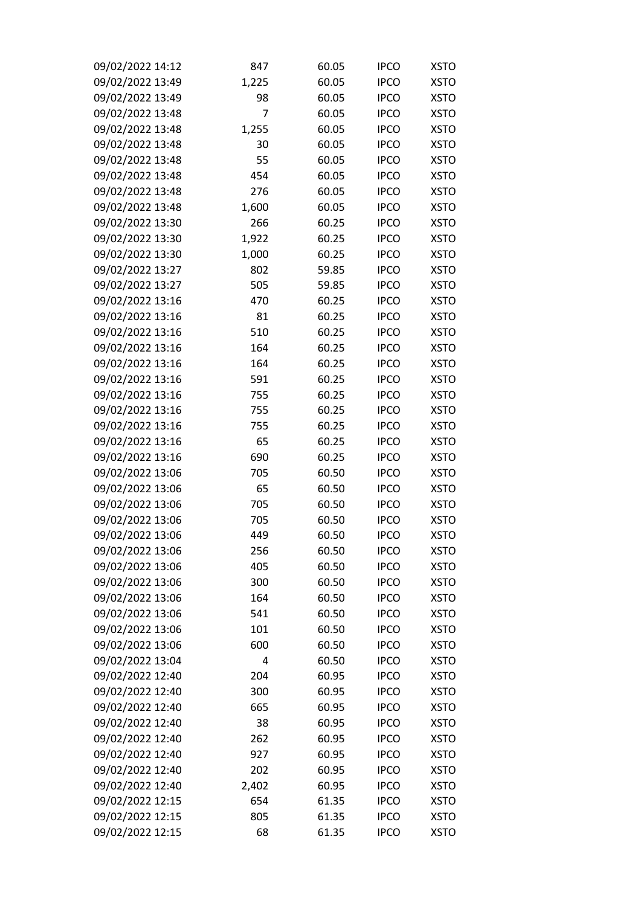| 09/02/2022 14:12 | 847   | 60.05 | <b>IPCO</b> | <b>XSTO</b> |
|------------------|-------|-------|-------------|-------------|
| 09/02/2022 13:49 | 1,225 | 60.05 | <b>IPCO</b> | <b>XSTO</b> |
| 09/02/2022 13:49 | 98    | 60.05 | <b>IPCO</b> | <b>XSTO</b> |
| 09/02/2022 13:48 | 7     | 60.05 | <b>IPCO</b> | <b>XSTO</b> |
| 09/02/2022 13:48 | 1,255 | 60.05 | <b>IPCO</b> | <b>XSTO</b> |
| 09/02/2022 13:48 | 30    | 60.05 | <b>IPCO</b> | <b>XSTO</b> |
| 09/02/2022 13:48 | 55    | 60.05 | <b>IPCO</b> | <b>XSTO</b> |
| 09/02/2022 13:48 | 454   | 60.05 | <b>IPCO</b> | <b>XSTO</b> |
| 09/02/2022 13:48 | 276   | 60.05 | <b>IPCO</b> | <b>XSTO</b> |
| 09/02/2022 13:48 | 1,600 | 60.05 | <b>IPCO</b> | <b>XSTO</b> |
| 09/02/2022 13:30 | 266   | 60.25 | <b>IPCO</b> | <b>XSTO</b> |
| 09/02/2022 13:30 | 1,922 | 60.25 | <b>IPCO</b> | <b>XSTO</b> |
| 09/02/2022 13:30 | 1,000 | 60.25 | <b>IPCO</b> | <b>XSTO</b> |
| 09/02/2022 13:27 | 802   | 59.85 | <b>IPCO</b> | <b>XSTO</b> |
| 09/02/2022 13:27 | 505   | 59.85 | <b>IPCO</b> | <b>XSTO</b> |
| 09/02/2022 13:16 | 470   | 60.25 | <b>IPCO</b> | <b>XSTO</b> |
| 09/02/2022 13:16 | 81    | 60.25 | <b>IPCO</b> | <b>XSTO</b> |
| 09/02/2022 13:16 | 510   | 60.25 | <b>IPCO</b> | <b>XSTO</b> |
| 09/02/2022 13:16 | 164   | 60.25 | <b>IPCO</b> | <b>XSTO</b> |
| 09/02/2022 13:16 | 164   | 60.25 | <b>IPCO</b> | <b>XSTO</b> |
| 09/02/2022 13:16 | 591   | 60.25 | <b>IPCO</b> | <b>XSTO</b> |
| 09/02/2022 13:16 | 755   | 60.25 | <b>IPCO</b> | <b>XSTO</b> |
| 09/02/2022 13:16 | 755   | 60.25 | <b>IPCO</b> | <b>XSTO</b> |
| 09/02/2022 13:16 | 755   | 60.25 | <b>IPCO</b> | <b>XSTO</b> |
| 09/02/2022 13:16 | 65    | 60.25 | <b>IPCO</b> | <b>XSTO</b> |
| 09/02/2022 13:16 | 690   | 60.25 | <b>IPCO</b> | <b>XSTO</b> |
| 09/02/2022 13:06 | 705   | 60.50 | <b>IPCO</b> | <b>XSTO</b> |
| 09/02/2022 13:06 | 65    | 60.50 | <b>IPCO</b> | <b>XSTO</b> |
| 09/02/2022 13:06 | 705   | 60.50 | <b>IPCO</b> | <b>XSTO</b> |
| 09/02/2022 13:06 | 705   | 60.50 | <b>IPCO</b> | <b>XSTO</b> |
| 09/02/2022 13:06 | 449   | 60.50 | <b>IPCO</b> | <b>XSTO</b> |
| 09/02/2022 13:06 | 256   | 60.50 | <b>IPCO</b> | <b>XSTO</b> |
| 09/02/2022 13:06 | 405   | 60.50 | <b>IPCO</b> | <b>XSTO</b> |
| 09/02/2022 13:06 | 300   | 60.50 | <b>IPCO</b> | <b>XSTO</b> |
| 09/02/2022 13:06 | 164   | 60.50 | <b>IPCO</b> | <b>XSTO</b> |
| 09/02/2022 13:06 | 541   | 60.50 | <b>IPCO</b> | <b>XSTO</b> |
| 09/02/2022 13:06 | 101   | 60.50 | <b>IPCO</b> | <b>XSTO</b> |
| 09/02/2022 13:06 | 600   | 60.50 | <b>IPCO</b> | <b>XSTO</b> |
| 09/02/2022 13:04 | 4     | 60.50 | <b>IPCO</b> | <b>XSTO</b> |
| 09/02/2022 12:40 | 204   | 60.95 |             | <b>XSTO</b> |
|                  |       |       | <b>IPCO</b> |             |
| 09/02/2022 12:40 | 300   | 60.95 | <b>IPCO</b> | <b>XSTO</b> |
| 09/02/2022 12:40 | 665   | 60.95 | <b>IPCO</b> | <b>XSTO</b> |
| 09/02/2022 12:40 | 38    | 60.95 | <b>IPCO</b> | <b>XSTO</b> |
| 09/02/2022 12:40 | 262   | 60.95 | <b>IPCO</b> | <b>XSTO</b> |
| 09/02/2022 12:40 | 927   | 60.95 | <b>IPCO</b> | <b>XSTO</b> |
| 09/02/2022 12:40 | 202   | 60.95 | <b>IPCO</b> | <b>XSTO</b> |
| 09/02/2022 12:40 | 2,402 | 60.95 | <b>IPCO</b> | <b>XSTO</b> |
| 09/02/2022 12:15 | 654   | 61.35 | <b>IPCO</b> | <b>XSTO</b> |
| 09/02/2022 12:15 | 805   | 61.35 | <b>IPCO</b> | <b>XSTO</b> |
| 09/02/2022 12:15 | 68    | 61.35 | <b>IPCO</b> | <b>XSTO</b> |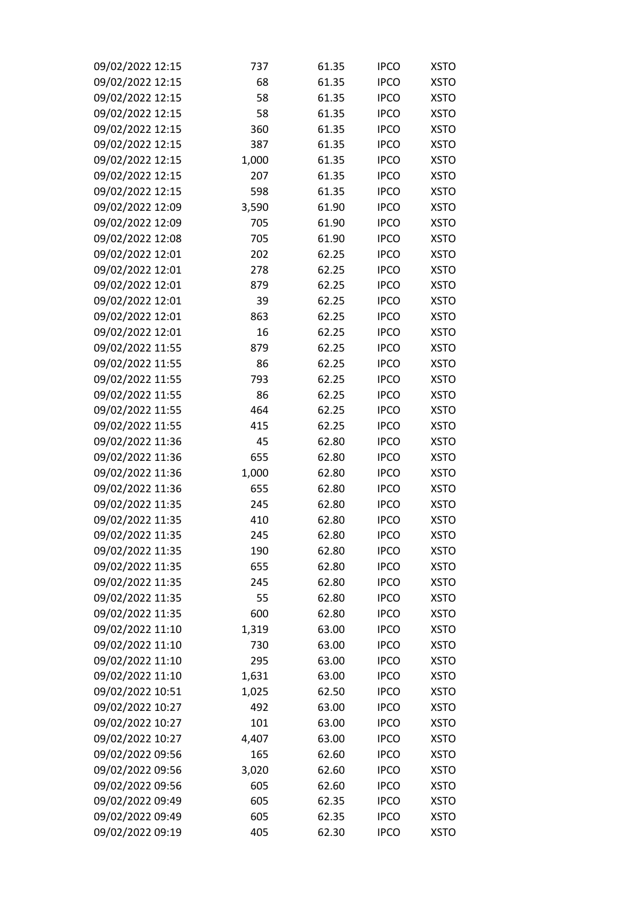| 09/02/2022 12:15 | 737   | 61.35 | <b>IPCO</b> | <b>XSTO</b> |
|------------------|-------|-------|-------------|-------------|
| 09/02/2022 12:15 | 68    | 61.35 | <b>IPCO</b> | <b>XSTO</b> |
| 09/02/2022 12:15 | 58    | 61.35 | <b>IPCO</b> | <b>XSTO</b> |
| 09/02/2022 12:15 | 58    | 61.35 | <b>IPCO</b> | <b>XSTO</b> |
| 09/02/2022 12:15 | 360   | 61.35 | <b>IPCO</b> | <b>XSTO</b> |
| 09/02/2022 12:15 | 387   | 61.35 | <b>IPCO</b> | <b>XSTO</b> |
| 09/02/2022 12:15 | 1,000 | 61.35 | <b>IPCO</b> | <b>XSTO</b> |
| 09/02/2022 12:15 | 207   | 61.35 | <b>IPCO</b> | <b>XSTO</b> |
| 09/02/2022 12:15 | 598   | 61.35 | <b>IPCO</b> | <b>XSTO</b> |
| 09/02/2022 12:09 | 3,590 | 61.90 | <b>IPCO</b> | <b>XSTO</b> |
| 09/02/2022 12:09 | 705   | 61.90 | <b>IPCO</b> | <b>XSTO</b> |
| 09/02/2022 12:08 | 705   | 61.90 | <b>IPCO</b> | <b>XSTO</b> |
| 09/02/2022 12:01 | 202   | 62.25 | <b>IPCO</b> | <b>XSTO</b> |
| 09/02/2022 12:01 | 278   | 62.25 | <b>IPCO</b> | <b>XSTO</b> |
| 09/02/2022 12:01 | 879   | 62.25 | <b>IPCO</b> | <b>XSTO</b> |
| 09/02/2022 12:01 | 39    | 62.25 | <b>IPCO</b> | <b>XSTO</b> |
| 09/02/2022 12:01 | 863   | 62.25 | <b>IPCO</b> | <b>XSTO</b> |
| 09/02/2022 12:01 | 16    | 62.25 | <b>IPCO</b> | <b>XSTO</b> |
| 09/02/2022 11:55 | 879   | 62.25 | <b>IPCO</b> | <b>XSTO</b> |
| 09/02/2022 11:55 | 86    | 62.25 | <b>IPCO</b> | <b>XSTO</b> |
| 09/02/2022 11:55 | 793   | 62.25 | <b>IPCO</b> | <b>XSTO</b> |
| 09/02/2022 11:55 | 86    | 62.25 | <b>IPCO</b> | <b>XSTO</b> |
| 09/02/2022 11:55 | 464   | 62.25 | <b>IPCO</b> | <b>XSTO</b> |
| 09/02/2022 11:55 | 415   | 62.25 | <b>IPCO</b> | <b>XSTO</b> |
| 09/02/2022 11:36 | 45    | 62.80 | <b>IPCO</b> | <b>XSTO</b> |
| 09/02/2022 11:36 | 655   | 62.80 | <b>IPCO</b> | <b>XSTO</b> |
| 09/02/2022 11:36 | 1,000 | 62.80 | <b>IPCO</b> | <b>XSTO</b> |
| 09/02/2022 11:36 | 655   | 62.80 | <b>IPCO</b> | <b>XSTO</b> |
| 09/02/2022 11:35 | 245   | 62.80 | <b>IPCO</b> | <b>XSTO</b> |
| 09/02/2022 11:35 | 410   | 62.80 | <b>IPCO</b> | <b>XSTO</b> |
| 09/02/2022 11:35 | 245   | 62.80 | <b>IPCO</b> | <b>XSTO</b> |
| 09/02/2022 11:35 | 190   | 62.80 | <b>IPCO</b> | <b>XSTO</b> |
| 09/02/2022 11:35 | 655   | 62.80 | <b>IPCO</b> | <b>XSTO</b> |
| 09/02/2022 11:35 | 245   | 62.80 | <b>IPCO</b> | <b>XSTO</b> |
| 09/02/2022 11:35 | 55    | 62.80 | <b>IPCO</b> | <b>XSTO</b> |
| 09/02/2022 11:35 | 600   | 62.80 | <b>IPCO</b> | <b>XSTO</b> |
| 09/02/2022 11:10 | 1,319 | 63.00 | <b>IPCO</b> | <b>XSTO</b> |
| 09/02/2022 11:10 | 730   | 63.00 | <b>IPCO</b> | <b>XSTO</b> |
| 09/02/2022 11:10 | 295   | 63.00 | <b>IPCO</b> | <b>XSTO</b> |
| 09/02/2022 11:10 | 1,631 | 63.00 | <b>IPCO</b> | <b>XSTO</b> |
| 09/02/2022 10:51 | 1,025 | 62.50 | <b>IPCO</b> | <b>XSTO</b> |
| 09/02/2022 10:27 | 492   | 63.00 | <b>IPCO</b> | <b>XSTO</b> |
| 09/02/2022 10:27 | 101   | 63.00 | <b>IPCO</b> | <b>XSTO</b> |
| 09/02/2022 10:27 | 4,407 | 63.00 | <b>IPCO</b> | <b>XSTO</b> |
| 09/02/2022 09:56 | 165   | 62.60 | <b>IPCO</b> | <b>XSTO</b> |
| 09/02/2022 09:56 | 3,020 | 62.60 | <b>IPCO</b> | <b>XSTO</b> |
| 09/02/2022 09:56 | 605   | 62.60 | <b>IPCO</b> | <b>XSTO</b> |
| 09/02/2022 09:49 | 605   | 62.35 | <b>IPCO</b> | <b>XSTO</b> |
| 09/02/2022 09:49 | 605   | 62.35 | <b>IPCO</b> | <b>XSTO</b> |
| 09/02/2022 09:19 | 405   | 62.30 | <b>IPCO</b> | <b>XSTO</b> |
|                  |       |       |             |             |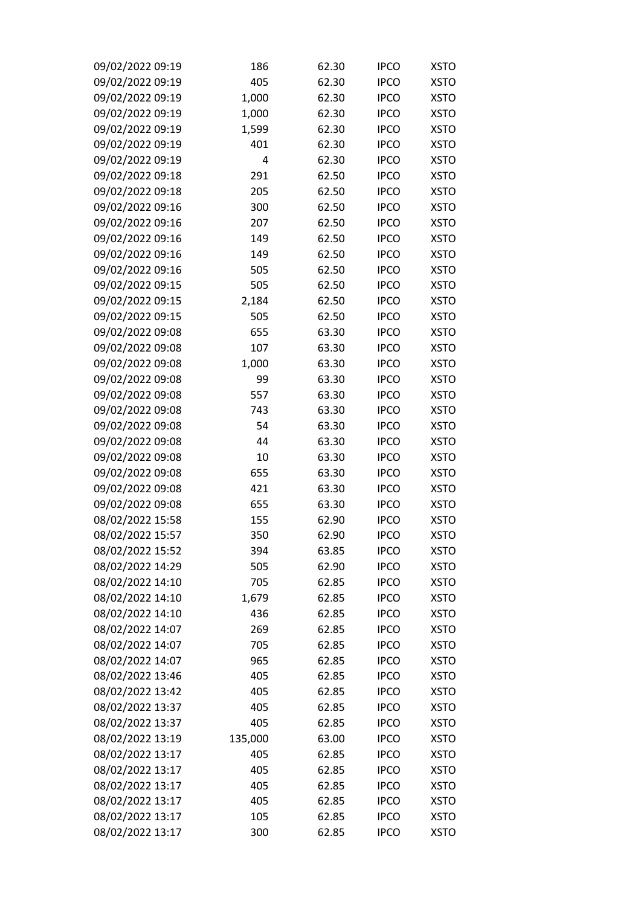| 09/02/2022 09:19 | 186     | 62.30 | <b>IPCO</b> | <b>XSTO</b> |
|------------------|---------|-------|-------------|-------------|
| 09/02/2022 09:19 | 405     | 62.30 | <b>IPCO</b> | <b>XSTO</b> |
| 09/02/2022 09:19 | 1,000   | 62.30 | <b>IPCO</b> | <b>XSTO</b> |
| 09/02/2022 09:19 | 1,000   | 62.30 | <b>IPCO</b> | <b>XSTO</b> |
| 09/02/2022 09:19 | 1,599   | 62.30 | <b>IPCO</b> | <b>XSTO</b> |
| 09/02/2022 09:19 | 401     | 62.30 | <b>IPCO</b> | <b>XSTO</b> |
| 09/02/2022 09:19 | 4       | 62.30 | <b>IPCO</b> | <b>XSTO</b> |
| 09/02/2022 09:18 | 291     | 62.50 | <b>IPCO</b> | <b>XSTO</b> |
| 09/02/2022 09:18 | 205     | 62.50 | <b>IPCO</b> | <b>XSTO</b> |
| 09/02/2022 09:16 | 300     | 62.50 | <b>IPCO</b> | <b>XSTO</b> |
| 09/02/2022 09:16 | 207     | 62.50 | <b>IPCO</b> | <b>XSTO</b> |
| 09/02/2022 09:16 | 149     | 62.50 | <b>IPCO</b> | <b>XSTO</b> |
| 09/02/2022 09:16 | 149     | 62.50 | <b>IPCO</b> | <b>XSTO</b> |
| 09/02/2022 09:16 | 505     | 62.50 | <b>IPCO</b> | <b>XSTO</b> |
| 09/02/2022 09:15 | 505     | 62.50 | <b>IPCO</b> | <b>XSTO</b> |
| 09/02/2022 09:15 | 2,184   | 62.50 | <b>IPCO</b> | <b>XSTO</b> |
| 09/02/2022 09:15 | 505     | 62.50 | <b>IPCO</b> | <b>XSTO</b> |
| 09/02/2022 09:08 | 655     | 63.30 | <b>IPCO</b> | <b>XSTO</b> |
| 09/02/2022 09:08 | 107     | 63.30 | <b>IPCO</b> | <b>XSTO</b> |
| 09/02/2022 09:08 | 1,000   | 63.30 | <b>IPCO</b> | <b>XSTO</b> |
| 09/02/2022 09:08 | 99      | 63.30 | <b>IPCO</b> | <b>XSTO</b> |
| 09/02/2022 09:08 | 557     | 63.30 | <b>IPCO</b> | <b>XSTO</b> |
| 09/02/2022 09:08 | 743     | 63.30 | <b>IPCO</b> | <b>XSTO</b> |
| 09/02/2022 09:08 | 54      | 63.30 | <b>IPCO</b> | <b>XSTO</b> |
| 09/02/2022 09:08 | 44      | 63.30 | <b>IPCO</b> | <b>XSTO</b> |
| 09/02/2022 09:08 | 10      | 63.30 | <b>IPCO</b> | <b>XSTO</b> |
| 09/02/2022 09:08 | 655     | 63.30 | <b>IPCO</b> | <b>XSTO</b> |
| 09/02/2022 09:08 | 421     | 63.30 | <b>IPCO</b> | <b>XSTO</b> |
| 09/02/2022 09:08 | 655     | 63.30 | <b>IPCO</b> | <b>XSTO</b> |
| 08/02/2022 15:58 | 155     | 62.90 | <b>IPCO</b> | <b>XSTO</b> |
| 08/02/2022 15:57 | 350     | 62.90 | <b>IPCO</b> | <b>XSTO</b> |
| 08/02/2022 15:52 | 394     | 63.85 | <b>IPCO</b> | <b>XSTO</b> |
| 08/02/2022 14:29 | 505     | 62.90 | <b>IPCO</b> | <b>XSTO</b> |
| 08/02/2022 14:10 | 705     | 62.85 | <b>IPCO</b> | <b>XSTO</b> |
| 08/02/2022 14:10 | 1,679   | 62.85 | <b>IPCO</b> | <b>XSTO</b> |
| 08/02/2022 14:10 | 436     | 62.85 | <b>IPCO</b> | <b>XSTO</b> |
| 08/02/2022 14:07 | 269     | 62.85 | <b>IPCO</b> | <b>XSTO</b> |
| 08/02/2022 14:07 | 705     | 62.85 | <b>IPCO</b> | <b>XSTO</b> |
| 08/02/2022 14:07 | 965     | 62.85 | <b>IPCO</b> | <b>XSTO</b> |
| 08/02/2022 13:46 | 405     | 62.85 | <b>IPCO</b> | <b>XSTO</b> |
| 08/02/2022 13:42 | 405     | 62.85 | <b>IPCO</b> | <b>XSTO</b> |
| 08/02/2022 13:37 | 405     | 62.85 | <b>IPCO</b> | <b>XSTO</b> |
| 08/02/2022 13:37 | 405     | 62.85 | <b>IPCO</b> | <b>XSTO</b> |
| 08/02/2022 13:19 | 135,000 | 63.00 | <b>IPCO</b> | <b>XSTO</b> |
| 08/02/2022 13:17 | 405     | 62.85 | <b>IPCO</b> | <b>XSTO</b> |
| 08/02/2022 13:17 | 405     | 62.85 | <b>IPCO</b> | <b>XSTO</b> |
| 08/02/2022 13:17 | 405     | 62.85 | <b>IPCO</b> | <b>XSTO</b> |
| 08/02/2022 13:17 | 405     | 62.85 | <b>IPCO</b> | <b>XSTO</b> |
| 08/02/2022 13:17 | 105     | 62.85 | <b>IPCO</b> | <b>XSTO</b> |
| 08/02/2022 13:17 | 300     | 62.85 | <b>IPCO</b> | <b>XSTO</b> |
|                  |         |       |             |             |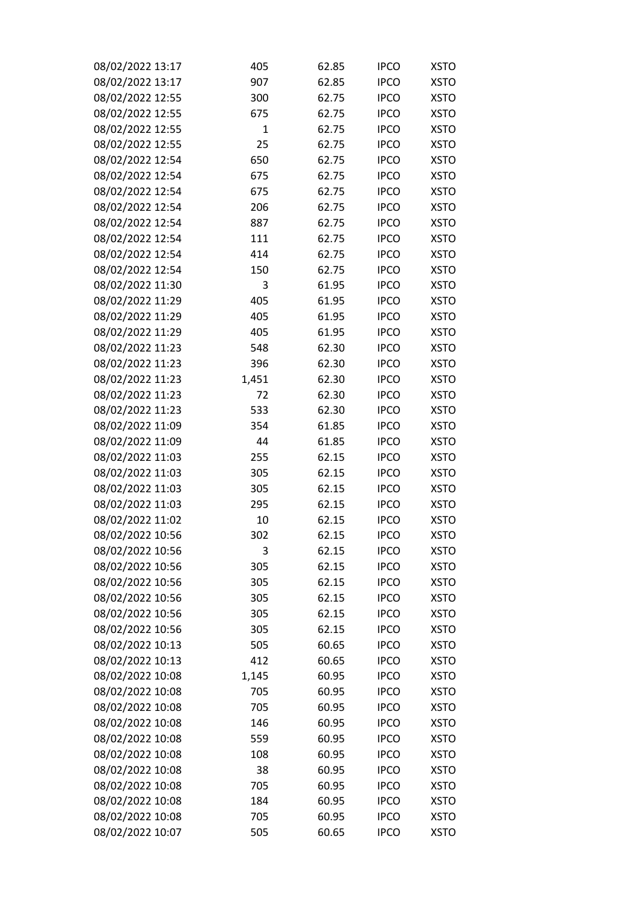| 08/02/2022 13:17 | 405          | 62.85 | <b>IPCO</b> | <b>XSTO</b> |
|------------------|--------------|-------|-------------|-------------|
| 08/02/2022 13:17 | 907          | 62.85 | <b>IPCO</b> | <b>XSTO</b> |
| 08/02/2022 12:55 | 300          | 62.75 | <b>IPCO</b> | <b>XSTO</b> |
| 08/02/2022 12:55 | 675          | 62.75 | <b>IPCO</b> | <b>XSTO</b> |
| 08/02/2022 12:55 | $\mathbf{1}$ | 62.75 | <b>IPCO</b> | <b>XSTO</b> |
| 08/02/2022 12:55 | 25           | 62.75 | <b>IPCO</b> | <b>XSTO</b> |
| 08/02/2022 12:54 | 650          | 62.75 | <b>IPCO</b> | <b>XSTO</b> |
| 08/02/2022 12:54 | 675          | 62.75 | <b>IPCO</b> | <b>XSTO</b> |
| 08/02/2022 12:54 | 675          | 62.75 | <b>IPCO</b> | <b>XSTO</b> |
| 08/02/2022 12:54 | 206          | 62.75 | <b>IPCO</b> | <b>XSTO</b> |
| 08/02/2022 12:54 | 887          | 62.75 | <b>IPCO</b> | <b>XSTO</b> |
| 08/02/2022 12:54 | 111          | 62.75 | <b>IPCO</b> | <b>XSTO</b> |
| 08/02/2022 12:54 | 414          | 62.75 | <b>IPCO</b> | <b>XSTO</b> |
| 08/02/2022 12:54 | 150          | 62.75 | <b>IPCO</b> | <b>XSTO</b> |
| 08/02/2022 11:30 | 3            | 61.95 | <b>IPCO</b> | <b>XSTO</b> |
| 08/02/2022 11:29 | 405          | 61.95 | <b>IPCO</b> | <b>XSTO</b> |
| 08/02/2022 11:29 | 405          | 61.95 | <b>IPCO</b> | <b>XSTO</b> |
| 08/02/2022 11:29 | 405          | 61.95 | <b>IPCO</b> | <b>XSTO</b> |
| 08/02/2022 11:23 | 548          | 62.30 | <b>IPCO</b> | <b>XSTO</b> |
| 08/02/2022 11:23 | 396          | 62.30 | <b>IPCO</b> | <b>XSTO</b> |
| 08/02/2022 11:23 | 1,451        | 62.30 | <b>IPCO</b> | <b>XSTO</b> |
| 08/02/2022 11:23 | 72           | 62.30 | <b>IPCO</b> | <b>XSTO</b> |
| 08/02/2022 11:23 | 533          | 62.30 | <b>IPCO</b> | <b>XSTO</b> |
| 08/02/2022 11:09 | 354          | 61.85 | <b>IPCO</b> | <b>XSTO</b> |
| 08/02/2022 11:09 | 44           | 61.85 | <b>IPCO</b> | <b>XSTO</b> |
| 08/02/2022 11:03 | 255          | 62.15 | <b>IPCO</b> | <b>XSTO</b> |
| 08/02/2022 11:03 | 305          | 62.15 | <b>IPCO</b> | <b>XSTO</b> |
| 08/02/2022 11:03 | 305          | 62.15 | <b>IPCO</b> | <b>XSTO</b> |
| 08/02/2022 11:03 | 295          | 62.15 | <b>IPCO</b> | <b>XSTO</b> |
| 08/02/2022 11:02 | 10           | 62.15 | <b>IPCO</b> | <b>XSTO</b> |
| 08/02/2022 10:56 | 302          | 62.15 | <b>IPCO</b> | <b>XSTO</b> |
| 08/02/2022 10:56 | 3            | 62.15 | <b>IPCO</b> | <b>XSTO</b> |
| 08/02/2022 10:56 | 305          | 62.15 | <b>IPCO</b> | <b>XSTO</b> |
| 08/02/2022 10:56 | 305          | 62.15 | <b>IPCO</b> | <b>XSTO</b> |
| 08/02/2022 10:56 | 305          | 62.15 | <b>IPCO</b> | <b>XSTO</b> |
| 08/02/2022 10:56 | 305          | 62.15 | <b>IPCO</b> | <b>XSTO</b> |
| 08/02/2022 10:56 | 305          | 62.15 | <b>IPCO</b> | <b>XSTO</b> |
| 08/02/2022 10:13 | 505          | 60.65 | <b>IPCO</b> | <b>XSTO</b> |
|                  | 412          | 60.65 | <b>IPCO</b> | <b>XSTO</b> |
| 08/02/2022 10:13 |              |       |             |             |
| 08/02/2022 10:08 | 1,145        | 60.95 | <b>IPCO</b> | <b>XSTO</b> |
| 08/02/2022 10:08 | 705          | 60.95 | <b>IPCO</b> | <b>XSTO</b> |
| 08/02/2022 10:08 | 705          | 60.95 | <b>IPCO</b> | <b>XSTO</b> |
| 08/02/2022 10:08 | 146          | 60.95 | <b>IPCO</b> | <b>XSTO</b> |
| 08/02/2022 10:08 | 559          | 60.95 | <b>IPCO</b> | <b>XSTO</b> |
| 08/02/2022 10:08 | 108          | 60.95 | <b>IPCO</b> | <b>XSTO</b> |
| 08/02/2022 10:08 | 38           | 60.95 | <b>IPCO</b> | <b>XSTO</b> |
| 08/02/2022 10:08 | 705          | 60.95 | <b>IPCO</b> | <b>XSTO</b> |
| 08/02/2022 10:08 | 184          | 60.95 | <b>IPCO</b> | <b>XSTO</b> |
| 08/02/2022 10:08 | 705          | 60.95 | <b>IPCO</b> | <b>XSTO</b> |
| 08/02/2022 10:07 | 505          | 60.65 | <b>IPCO</b> | <b>XSTO</b> |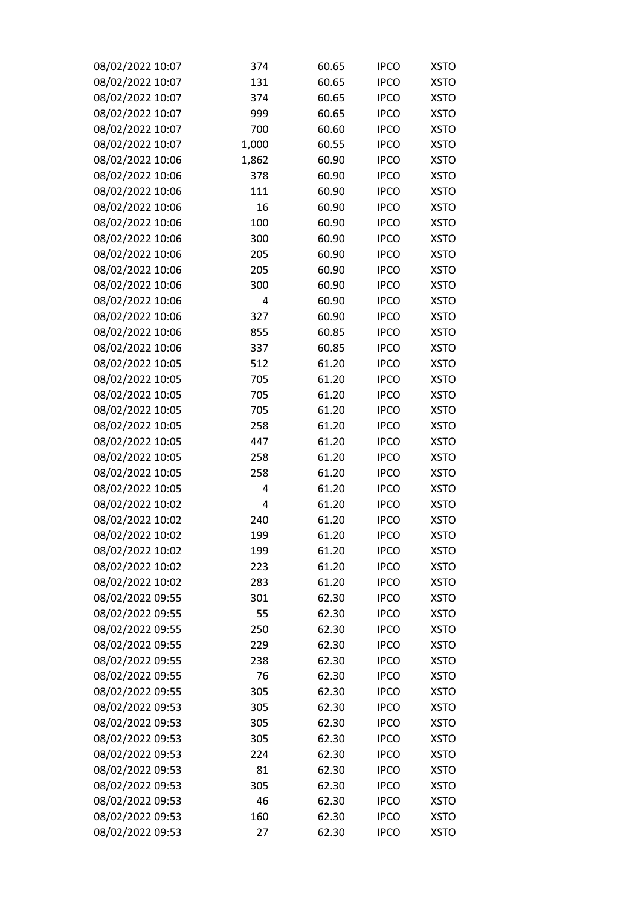| 08/02/2022 10:07 | 374   | 60.65 | <b>IPCO</b> | <b>XSTO</b> |
|------------------|-------|-------|-------------|-------------|
| 08/02/2022 10:07 | 131   | 60.65 | <b>IPCO</b> | <b>XSTO</b> |
| 08/02/2022 10:07 | 374   | 60.65 | <b>IPCO</b> | <b>XSTO</b> |
| 08/02/2022 10:07 | 999   | 60.65 | <b>IPCO</b> | <b>XSTO</b> |
| 08/02/2022 10:07 | 700   | 60.60 | <b>IPCO</b> | <b>XSTO</b> |
| 08/02/2022 10:07 | 1,000 | 60.55 | <b>IPCO</b> | <b>XSTO</b> |
| 08/02/2022 10:06 | 1,862 | 60.90 | <b>IPCO</b> | <b>XSTO</b> |
| 08/02/2022 10:06 | 378   | 60.90 | <b>IPCO</b> | <b>XSTO</b> |
| 08/02/2022 10:06 | 111   | 60.90 | <b>IPCO</b> | <b>XSTO</b> |
| 08/02/2022 10:06 | 16    | 60.90 | <b>IPCO</b> | <b>XSTO</b> |
| 08/02/2022 10:06 | 100   | 60.90 | <b>IPCO</b> | <b>XSTO</b> |
| 08/02/2022 10:06 | 300   | 60.90 | <b>IPCO</b> | <b>XSTO</b> |
| 08/02/2022 10:06 | 205   | 60.90 | <b>IPCO</b> | <b>XSTO</b> |
| 08/02/2022 10:06 | 205   | 60.90 | <b>IPCO</b> | <b>XSTO</b> |
| 08/02/2022 10:06 | 300   | 60.90 | <b>IPCO</b> | <b>XSTO</b> |
| 08/02/2022 10:06 | 4     | 60.90 | <b>IPCO</b> | <b>XSTO</b> |
| 08/02/2022 10:06 | 327   | 60.90 | <b>IPCO</b> | <b>XSTO</b> |
| 08/02/2022 10:06 | 855   | 60.85 | <b>IPCO</b> | <b>XSTO</b> |
| 08/02/2022 10:06 | 337   | 60.85 | <b>IPCO</b> | <b>XSTO</b> |
| 08/02/2022 10:05 | 512   | 61.20 | <b>IPCO</b> | <b>XSTO</b> |
| 08/02/2022 10:05 | 705   | 61.20 | <b>IPCO</b> | <b>XSTO</b> |
| 08/02/2022 10:05 | 705   | 61.20 | <b>IPCO</b> | <b>XSTO</b> |
| 08/02/2022 10:05 | 705   | 61.20 | <b>IPCO</b> | <b>XSTO</b> |
| 08/02/2022 10:05 | 258   | 61.20 | <b>IPCO</b> | <b>XSTO</b> |
| 08/02/2022 10:05 | 447   | 61.20 | <b>IPCO</b> | <b>XSTO</b> |
| 08/02/2022 10:05 | 258   | 61.20 | <b>IPCO</b> | <b>XSTO</b> |
| 08/02/2022 10:05 | 258   | 61.20 | <b>IPCO</b> | <b>XSTO</b> |
| 08/02/2022 10:05 | 4     | 61.20 | <b>IPCO</b> | <b>XSTO</b> |
| 08/02/2022 10:02 | 4     | 61.20 | <b>IPCO</b> | <b>XSTO</b> |
| 08/02/2022 10:02 | 240   | 61.20 | <b>IPCO</b> | <b>XSTO</b> |
| 08/02/2022 10:02 | 199   | 61.20 | <b>IPCO</b> | <b>XSTO</b> |
| 08/02/2022 10:02 | 199   | 61.20 | <b>IPCO</b> | <b>XSTO</b> |
| 08/02/2022 10:02 | 223   | 61.20 | <b>IPCO</b> | <b>XSTO</b> |
| 08/02/2022 10:02 | 283   | 61.20 | <b>IPCO</b> | <b>XSTO</b> |
| 08/02/2022 09:55 | 301   | 62.30 | <b>IPCO</b> | <b>XSTO</b> |
| 08/02/2022 09:55 | 55    | 62.30 | <b>IPCO</b> | <b>XSTO</b> |
| 08/02/2022 09:55 | 250   | 62.30 | <b>IPCO</b> | <b>XSTO</b> |
| 08/02/2022 09:55 | 229   | 62.30 | <b>IPCO</b> | <b>XSTO</b> |
| 08/02/2022 09:55 | 238   | 62.30 | <b>IPCO</b> | <b>XSTO</b> |
| 08/02/2022 09:55 | 76    | 62.30 | <b>IPCO</b> | <b>XSTO</b> |
| 08/02/2022 09:55 | 305   | 62.30 | <b>IPCO</b> | <b>XSTO</b> |
| 08/02/2022 09:53 | 305   | 62.30 | <b>IPCO</b> | <b>XSTO</b> |
| 08/02/2022 09:53 | 305   | 62.30 | <b>IPCO</b> | <b>XSTO</b> |
| 08/02/2022 09:53 | 305   |       | <b>IPCO</b> | <b>XSTO</b> |
|                  |       | 62.30 |             |             |
| 08/02/2022 09:53 | 224   | 62.30 | <b>IPCO</b> | <b>XSTO</b> |
| 08/02/2022 09:53 | 81    | 62.30 | <b>IPCO</b> | <b>XSTO</b> |
| 08/02/2022 09:53 | 305   | 62.30 | <b>IPCO</b> | <b>XSTO</b> |
| 08/02/2022 09:53 | 46    | 62.30 | <b>IPCO</b> | <b>XSTO</b> |
| 08/02/2022 09:53 | 160   | 62.30 | <b>IPCO</b> | <b>XSTO</b> |
| 08/02/2022 09:53 | 27    | 62.30 | <b>IPCO</b> | <b>XSTO</b> |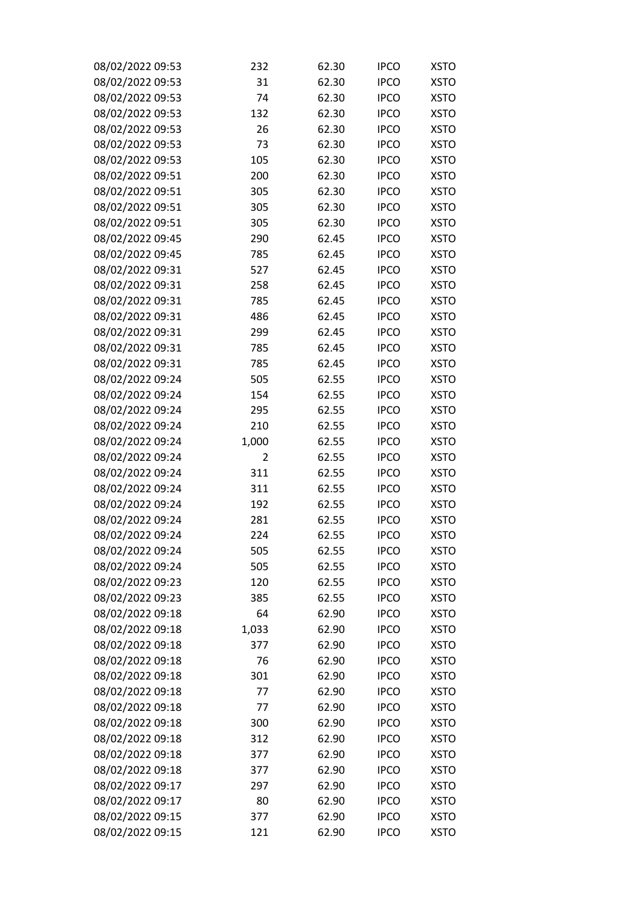| 08/02/2022 09:53 | 232            | 62.30 | <b>IPCO</b> | <b>XSTO</b> |
|------------------|----------------|-------|-------------|-------------|
| 08/02/2022 09:53 | 31             | 62.30 | <b>IPCO</b> | <b>XSTO</b> |
| 08/02/2022 09:53 | 74             | 62.30 | <b>IPCO</b> | <b>XSTO</b> |
| 08/02/2022 09:53 | 132            | 62.30 | <b>IPCO</b> | <b>XSTO</b> |
| 08/02/2022 09:53 | 26             | 62.30 | <b>IPCO</b> | <b>XSTO</b> |
| 08/02/2022 09:53 | 73             | 62.30 | <b>IPCO</b> | <b>XSTO</b> |
| 08/02/2022 09:53 | 105            | 62.30 | <b>IPCO</b> | <b>XSTO</b> |
| 08/02/2022 09:51 | 200            | 62.30 | <b>IPCO</b> | <b>XSTO</b> |
| 08/02/2022 09:51 | 305            | 62.30 | <b>IPCO</b> | <b>XSTO</b> |
| 08/02/2022 09:51 | 305            | 62.30 | <b>IPCO</b> | <b>XSTO</b> |
| 08/02/2022 09:51 | 305            | 62.30 | <b>IPCO</b> | <b>XSTO</b> |
| 08/02/2022 09:45 | 290            | 62.45 | <b>IPCO</b> | <b>XSTO</b> |
| 08/02/2022 09:45 | 785            | 62.45 | <b>IPCO</b> | <b>XSTO</b> |
| 08/02/2022 09:31 | 527            | 62.45 | <b>IPCO</b> | <b>XSTO</b> |
| 08/02/2022 09:31 | 258            | 62.45 | <b>IPCO</b> | <b>XSTO</b> |
| 08/02/2022 09:31 | 785            | 62.45 | <b>IPCO</b> | <b>XSTO</b> |
| 08/02/2022 09:31 | 486            | 62.45 | <b>IPCO</b> | <b>XSTO</b> |
| 08/02/2022 09:31 | 299            | 62.45 | <b>IPCO</b> | <b>XSTO</b> |
| 08/02/2022 09:31 | 785            | 62.45 | <b>IPCO</b> | <b>XSTO</b> |
| 08/02/2022 09:31 | 785            | 62.45 | <b>IPCO</b> | <b>XSTO</b> |
| 08/02/2022 09:24 | 505            | 62.55 | <b>IPCO</b> | <b>XSTO</b> |
| 08/02/2022 09:24 | 154            | 62.55 | <b>IPCO</b> | <b>XSTO</b> |
| 08/02/2022 09:24 | 295            | 62.55 | <b>IPCO</b> | <b>XSTO</b> |
| 08/02/2022 09:24 | 210            | 62.55 | <b>IPCO</b> | <b>XSTO</b> |
| 08/02/2022 09:24 | 1,000          | 62.55 | <b>IPCO</b> | <b>XSTO</b> |
| 08/02/2022 09:24 | $\overline{2}$ | 62.55 | <b>IPCO</b> | <b>XSTO</b> |
| 08/02/2022 09:24 | 311            | 62.55 | <b>IPCO</b> | <b>XSTO</b> |
| 08/02/2022 09:24 | 311            | 62.55 | <b>IPCO</b> | <b>XSTO</b> |
| 08/02/2022 09:24 | 192            | 62.55 | <b>IPCO</b> | <b>XSTO</b> |
| 08/02/2022 09:24 | 281            | 62.55 | <b>IPCO</b> | <b>XSTO</b> |
| 08/02/2022 09:24 | 224            | 62.55 | <b>IPCO</b> | <b>XSTO</b> |
| 08/02/2022 09:24 | 505            | 62.55 | <b>IPCO</b> | <b>XSTO</b> |
| 08/02/2022 09:24 | 505            | 62.55 | <b>IPCO</b> | <b>XSTO</b> |
| 08/02/2022 09:23 | 120            | 62.55 | <b>IPCO</b> | <b>XSTO</b> |
| 08/02/2022 09:23 | 385            | 62.55 | <b>IPCO</b> | <b>XSTO</b> |
| 08/02/2022 09:18 | 64             | 62.90 | <b>IPCO</b> | <b>XSTO</b> |
| 08/02/2022 09:18 | 1,033          | 62.90 | <b>IPCO</b> | <b>XSTO</b> |
| 08/02/2022 09:18 | 377            | 62.90 | <b>IPCO</b> | <b>XSTO</b> |
| 08/02/2022 09:18 | 76             | 62.90 | <b>IPCO</b> | <b>XSTO</b> |
| 08/02/2022 09:18 | 301            | 62.90 | <b>IPCO</b> | <b>XSTO</b> |
| 08/02/2022 09:18 | 77             | 62.90 | <b>IPCO</b> | <b>XSTO</b> |
| 08/02/2022 09:18 | 77             | 62.90 | <b>IPCO</b> | <b>XSTO</b> |
| 08/02/2022 09:18 | 300            | 62.90 | <b>IPCO</b> | <b>XSTO</b> |
| 08/02/2022 09:18 | 312            | 62.90 | <b>IPCO</b> | <b>XSTO</b> |
| 08/02/2022 09:18 | 377            | 62.90 | <b>IPCO</b> | <b>XSTO</b> |
| 08/02/2022 09:18 | 377            | 62.90 | <b>IPCO</b> | <b>XSTO</b> |
| 08/02/2022 09:17 | 297            | 62.90 | <b>IPCO</b> | <b>XSTO</b> |
| 08/02/2022 09:17 | 80             | 62.90 | <b>IPCO</b> | <b>XSTO</b> |
| 08/02/2022 09:15 | 377            | 62.90 | <b>IPCO</b> | <b>XSTO</b> |
| 08/02/2022 09:15 | 121            | 62.90 | <b>IPCO</b> | <b>XSTO</b> |
|                  |                |       |             |             |